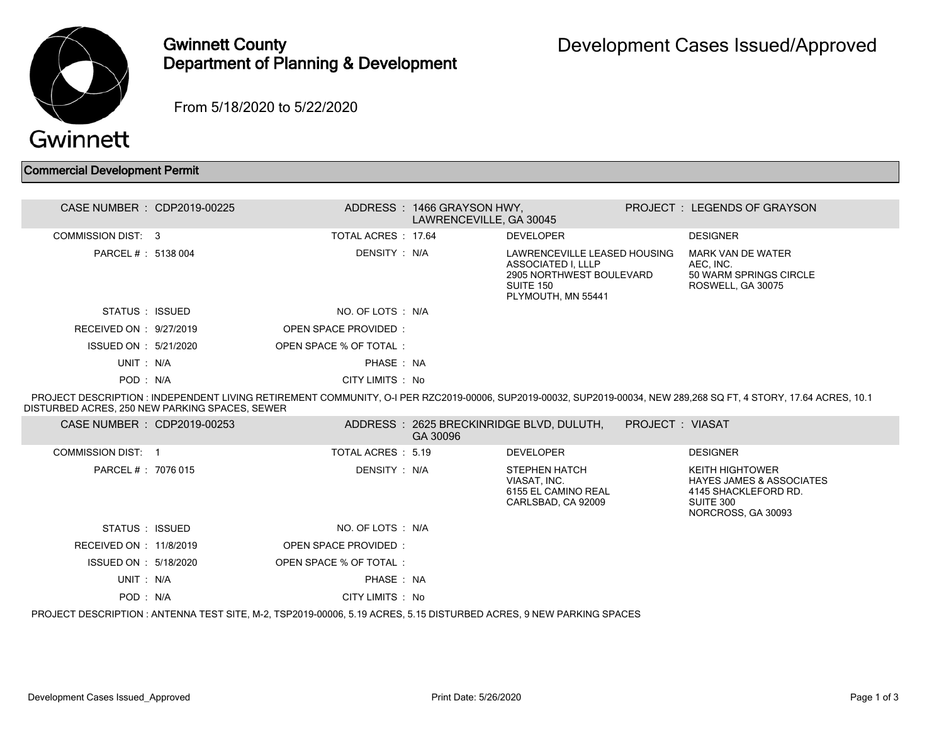

## Gwinnett County Department of Planning & Development

From 5/18/2020 to 5/22/2020

| <b>Commercial Development Permit</b> |  |  |  |
|--------------------------------------|--|--|--|
|--------------------------------------|--|--|--|

| CASE NUMBER : CDP2019-00225 |                        | ADDRESS : 1466 GRAYSON HWY.<br>LAWRENCEVILLE, GA 30045 |                                                                                                                   | PROJECT: LEGENDS OF GRAYSON                                                   |
|-----------------------------|------------------------|--------------------------------------------------------|-------------------------------------------------------------------------------------------------------------------|-------------------------------------------------------------------------------|
| COMMISSION DIST: 3          | TOTAL ACRES 17.64      |                                                        | <b>DEVELOPER</b>                                                                                                  | <b>DESIGNER</b>                                                               |
| PARCEL # : 5138 004         | DENSITY : N/A          |                                                        | LAWRENCEVILLE LEASED HOUSING<br>ASSOCIATED I, LLLP<br>2905 NORTHWEST BOULEVARD<br>SUITE 150<br>PLYMOUTH, MN 55441 | MARK VAN DE WATER<br>AEC, INC.<br>50 WARM SPRINGS CIRCLE<br>ROSWELL, GA 30075 |
| STATUS : ISSUED             | NO. OF LOTS : N/A      |                                                        |                                                                                                                   |                                                                               |
| RECEIVED ON : $9/27/2019$   | OPEN SPACE PROVIDED    |                                                        |                                                                                                                   |                                                                               |
| ISSUED ON : 5/21/2020       | OPEN SPACE % OF TOTAL: |                                                        |                                                                                                                   |                                                                               |
| UNIT: N/A                   | PHASE: NA              |                                                        |                                                                                                                   |                                                                               |
| POD: N/A                    | CITY LIMITS : No       |                                                        |                                                                                                                   |                                                                               |
|                             |                        |                                                        |                                                                                                                   |                                                                               |

 PROJECT DESCRIPTION : INDEPENDENT LIVING RETIREMENT COMMUNITY, O-I PER RZC2019-00006, SUP2019-00032, SUP2019-00034, NEW 289,268 SQ FT, 4 STORY, 17.64 ACRES, 10.1 DISTURBED ACRES, 250 NEW PARKING SPACES, SEWER

| CASE NUMBER : CDP2019-00253 |                                                                                                                     | GA 30096 | ADDRESS: 2625 BRECKINRIDGE BLVD, DULUTH,                                   | <b>PROJECT: VIASAT</b> |                                                                                                                          |
|-----------------------------|---------------------------------------------------------------------------------------------------------------------|----------|----------------------------------------------------------------------------|------------------------|--------------------------------------------------------------------------------------------------------------------------|
| COMMISSION DIST: 1          | TOTAL ACRES : 5.19                                                                                                  |          | <b>DEVELOPER</b>                                                           |                        | <b>DESIGNER</b>                                                                                                          |
| PARCEL # : 7076 015         | DENSITY : N/A                                                                                                       |          | STEPHEN HATCH<br>VIASAT. INC.<br>6155 EL CAMINO REAL<br>CARLSBAD, CA 92009 |                        | <b>KEITH HIGHTOWER</b><br><b>HAYES JAMES &amp; ASSOCIATES</b><br>4145 SHACKLEFORD RD.<br>SUITE 300<br>NORCROSS, GA 30093 |
| STATUS : ISSUED             | NO. OF LOTS : N/A                                                                                                   |          |                                                                            |                        |                                                                                                                          |
| RECEIVED ON : 11/8/2019     | OPEN SPACE PROVIDED:                                                                                                |          |                                                                            |                        |                                                                                                                          |
| ISSUED ON : 5/18/2020       | OPEN SPACE % OF TOTAL:                                                                                              |          |                                                                            |                        |                                                                                                                          |
| UNIT: N/A                   | PHASE: NA                                                                                                           |          |                                                                            |                        |                                                                                                                          |
| POD: N/A                    | CITY LIMITS : No                                                                                                    |          |                                                                            |                        |                                                                                                                          |
|                             | PROJECT DESCRIPTION : ANTENNA TEST SITE, M-2, TSP2019-00006, 5.19 ACRES, 5.15 DISTURBED ACRES, 9 NEW PARKING SPACES |          |                                                                            |                        |                                                                                                                          |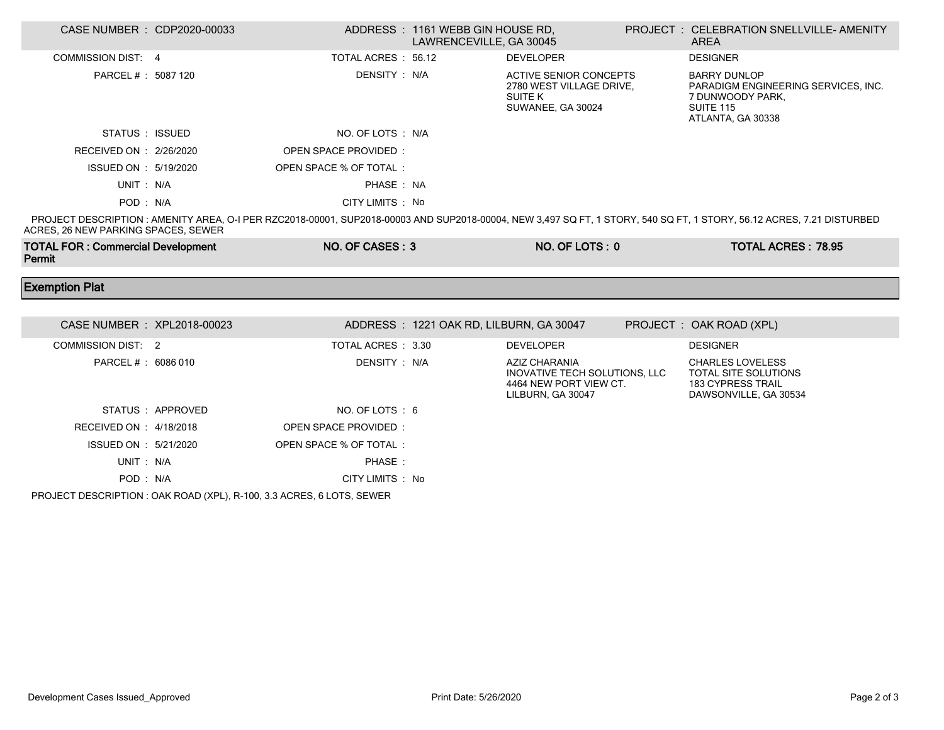| CASE NUMBER : CDP2020-00033              |                  |                         | ADDRESS: 1161 WEBB GIN HOUSE RD,<br>LAWRENCEVILLE, GA 30045 |                                                                                                  | PROJECT: CELEBRATION SNELLVILLE- AMENITY<br>AREA                                                                                                                      |
|------------------------------------------|------------------|-------------------------|-------------------------------------------------------------|--------------------------------------------------------------------------------------------------|-----------------------------------------------------------------------------------------------------------------------------------------------------------------------|
| <b>COMMISSION DIST: 4</b>                |                  | TOTAL ACRES: 56.12      |                                                             | <b>DEVELOPER</b>                                                                                 | <b>DESIGNER</b>                                                                                                                                                       |
| PARCEL # : 5087 120                      |                  | DENSITY : N/A           |                                                             | <b>ACTIVE SENIOR CONCEPTS</b><br>2780 WEST VILLAGE DRIVE,<br><b>SUITE K</b><br>SUWANEE, GA 30024 | <b>BARRY DUNLOP</b><br>PARADIGM ENGINEERING SERVICES, INC.<br>7 DUNWOODY PARK,<br><b>SUITE 115</b><br>ATLANTA, GA 30338                                               |
| STATUS : ISSUED                          |                  | NO. OF LOTS : N/A       |                                                             |                                                                                                  |                                                                                                                                                                       |
| RECEIVED ON : 2/26/2020                  |                  | OPEN SPACE PROVIDED:    |                                                             |                                                                                                  |                                                                                                                                                                       |
| ISSUED ON : 5/19/2020                    |                  | OPEN SPACE % OF TOTAL:  |                                                             |                                                                                                  |                                                                                                                                                                       |
| UNIT: N/A                                |                  | PHASE: NA               |                                                             |                                                                                                  |                                                                                                                                                                       |
| POD: N/A                                 |                  | CITY LIMITS : No        |                                                             |                                                                                                  |                                                                                                                                                                       |
| ACRES, 26 NEW PARKING SPACES, SEWER      |                  |                         |                                                             |                                                                                                  | PROJECT DESCRIPTION : AMENITY AREA, O-I PER RZC2018-00001, SUP2018-00003 AND SUP2018-00004, NEW 3,497 SQ FT, 1 STORY, 540 SQ FT, 1 STORY, 56.12 ACRES, 7.21 DISTURBED |
| <b>TOTAL FOR: Commercial Development</b> |                  | NO. OF CASES: 3         |                                                             | NO. OF LOTS: 0                                                                                   | <b>TOTAL ACRES: 78.95</b>                                                                                                                                             |
| Permit                                   |                  |                         |                                                             |                                                                                                  |                                                                                                                                                                       |
| <b>Exemption Plat</b>                    |                  |                         |                                                             |                                                                                                  |                                                                                                                                                                       |
|                                          |                  |                         |                                                             |                                                                                                  |                                                                                                                                                                       |
| CASE NUMBER : XPL2018-00023              |                  |                         | ADDRESS: 1221 OAK RD, LILBURN, GA 30047                     |                                                                                                  | PROJECT: OAK ROAD (XPL)                                                                                                                                               |
| <b>COMMISSION DIST: 2</b>                |                  | TOTAL ACRES : 3.30      |                                                             | <b>DEVELOPER</b>                                                                                 | <b>DESIGNER</b>                                                                                                                                                       |
| PARCEL # : 6086 010                      |                  | DENSITY: N/A            |                                                             | AZIZ CHARANIA<br>INOVATIVE TECH SOLUTIONS, LLC<br>4464 NEW PORT VIEW CT.<br>LILBURN, GA 30047    | <b>CHARLES LOVELESS</b><br>TOTAL SITE SOLUTIONS<br>183 CYPRESS TRAIL<br>DAWSONVILLE, GA 30534                                                                         |
|                                          | STATUS: APPROVED | NO. OF LOTS: 6          |                                                             |                                                                                                  |                                                                                                                                                                       |
| RECEIVED ON : 4/18/2018                  |                  | OPEN SPACE PROVIDED:    |                                                             |                                                                                                  |                                                                                                                                                                       |
| ISSUED ON : 5/21/2020                    |                  | OPEN SPACE % OF TOTAL : |                                                             |                                                                                                  |                                                                                                                                                                       |
| UNIT: N/A                                |                  | PHASE:                  |                                                             |                                                                                                  |                                                                                                                                                                       |

PROJECT DESCRIPTION : OAK ROAD (XPL), R-100, 3.3 ACRES, 6 LOTS, SEWER